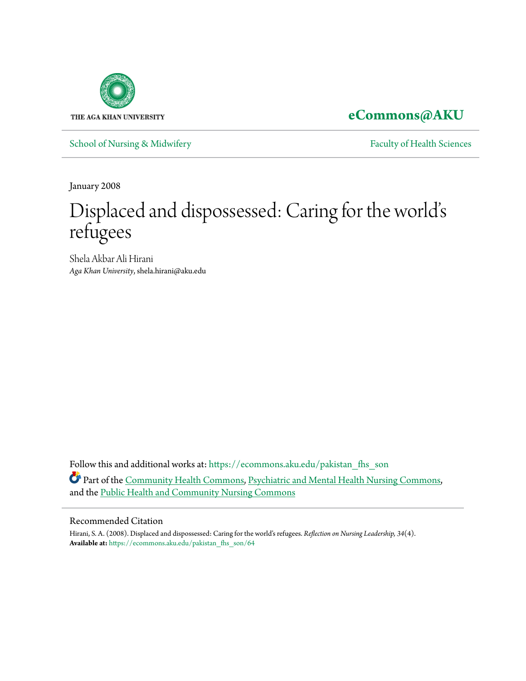

**[eCommons@AKU](https://ecommons.aku.edu?utm_source=ecommons.aku.edu%2Fpakistan_fhs_son%2F64&utm_medium=PDF&utm_campaign=PDFCoverPages)**

[School of Nursing & Midwifery](https://ecommons.aku.edu/pakistan_fhs_son?utm_source=ecommons.aku.edu%2Fpakistan_fhs_son%2F64&utm_medium=PDF&utm_campaign=PDFCoverPages) **[Faculty of Health Sciences](https://ecommons.aku.edu/pakistan_fhs?utm_source=ecommons.aku.edu%2Fpakistan_fhs_son%2F64&utm_medium=PDF&utm_campaign=PDFCoverPages)** Faculty of Health Sciences

January 2008

## Displaced and dispossessed: Caring for the world' s refugees

Shela Akbar Ali Hirani *Aga Khan University*, shela.hirani@aku.edu

Follow this and additional works at: [https://ecommons.aku.edu/pakistan\\_fhs\\_son](https://ecommons.aku.edu/pakistan_fhs_son?utm_source=ecommons.aku.edu%2Fpakistan_fhs_son%2F64&utm_medium=PDF&utm_campaign=PDFCoverPages) Part of the [Community Health Commons](http://network.bepress.com/hgg/discipline/714?utm_source=ecommons.aku.edu%2Fpakistan_fhs_son%2F64&utm_medium=PDF&utm_campaign=PDFCoverPages), [Psychiatric and Mental Health Nursing Commons](http://network.bepress.com/hgg/discipline/724?utm_source=ecommons.aku.edu%2Fpakistan_fhs_son%2F64&utm_medium=PDF&utm_campaign=PDFCoverPages), and the [Public Health and Community Nursing Commons](http://network.bepress.com/hgg/discipline/725?utm_source=ecommons.aku.edu%2Fpakistan_fhs_son%2F64&utm_medium=PDF&utm_campaign=PDFCoverPages)

#### Recommended Citation

Hirani, S. A. (2008). Displaced and dispossessed: Caring for the world's refugees. *Reflection on Nursing Leadership, 34*(4). **Available at:** [https://ecommons.aku.edu/pakistan\\_fhs\\_son/64](https://ecommons.aku.edu/pakistan_fhs_son/64)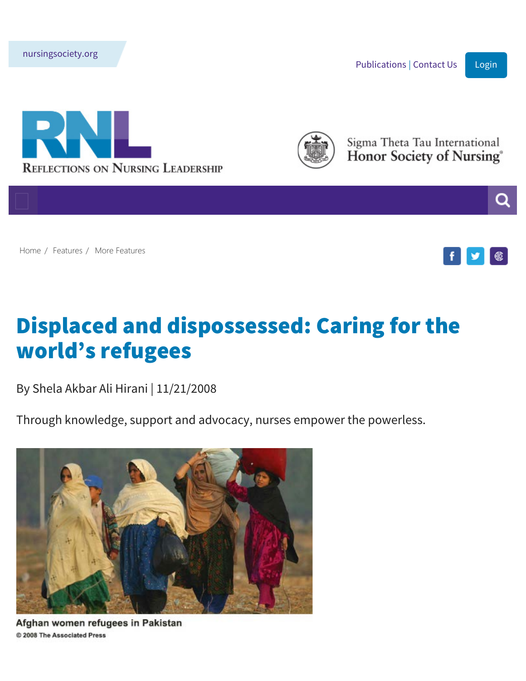<span id="page-1-0"></span>[nursingsociety.org](http://www.nursingsociety.org/)

[Publications](http://www.nursingsociety.org/learn-grow/publications) | [Contact Us](https://www.reflectionsonnursingleadership.org/about-the-magazine/contact-us) | [Login](https://www.reflectionsonnursingleadership.org/AUTH2/)







Sigma Theta Tau International Honor Society of Nursing®



[Home](https://www.reflectionsonnursingleadership.org/home) / [Features](https://www.reflectionsonnursingleadership.org/features) / [More Features](javascript: void(0))



# Displaced and dispossessed: Caring for the world's refugees

By Shela Akbar Ali Hirani | 11/21/2008

Through knowledge, support and advocacy, nurses empower the powerless.



Afghan women refugees in Pakistan © 2008 The Associated Press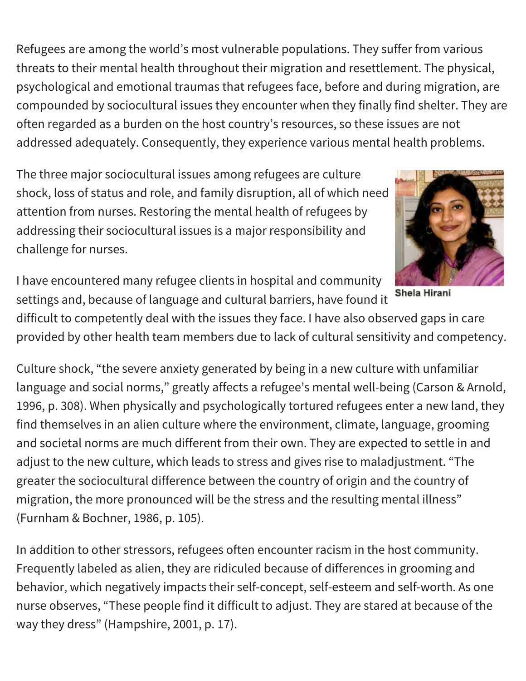Refugees are among the world's most vulnerable populations. They suffer from various threats to their mental health throughout their migration and resettlement. The physical, psychological and emotional traumas that refugees face, before and during migration, are compounded by sociocultural issues they encounter when they finally find shelter. They are often regarded as a burden on the host country's resources, so these issues are not addressed adequately. Consequently, they experience various mental health problems.

The three major sociocultural issues among refugees are culture shock, loss of status and role, and family disruption, all of which need attention from nurses. Restoring the mental health of refugees by addressing their sociocultural issues is a major responsibility and challenge for nurses.



I have encountered many refugee clients in hospital and community settings and, because of language and cultural barriers, have found it

difficult to competently deal with the issues they face. I have also observed gaps in care provided by other health team members due to lack of cultural sensitivity and competency.

Culture shock, "the severe anxiety generated by being in a new culture with unfamiliar language and social norms," greatly affects a refugee's mental well-being (Carson & Arnold, 1996, p. 308). When physically and psychologically tortured refugees enter a new land, they find themselves in an alien culture where the environment, climate, language, grooming and societal norms are much different from their own. They are expected to settle in and adjust to the new culture, which leads to stress and gives rise to maladjustment. "The greater the sociocultural difference between the country of origin and the country of migration, the more pronounced will be the stress and the resulting mental illness" (Furnham & Bochner, 1986, p. 105).

In addition to other stressors, refugees often encounter racism in the host community. Frequently labeled as alien, they are ridiculed because of differences in grooming and behavior, which negatively impacts their self-concept, self-esteem and self-worth. As one nurse observes, "These people find it difficult to adjust. They are stared at because of the way they dress" (Hampshire, 2001, p. 17).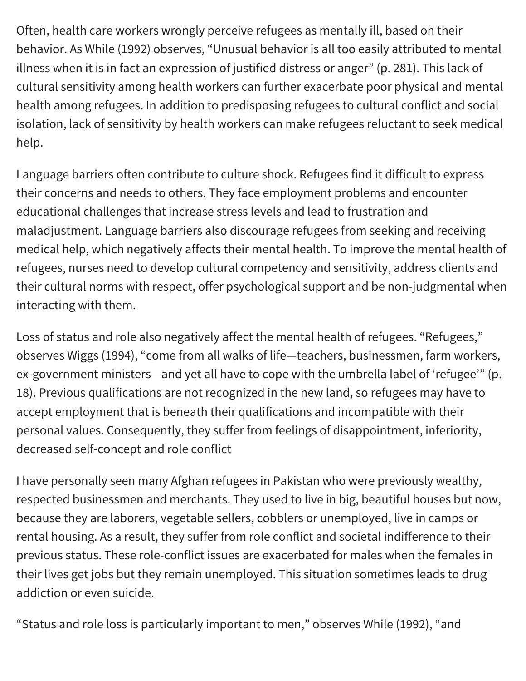Often, health care workers wrongly perceive refugees as mentally ill, based on their behavior. As While (1992) observes, "Unusual behavior is all too easily attributed to mental illness when it is in fact an expression of justified distress or anger" (p. 281). This lack of cultural sensitivity among health workers can further exacerbate poor physical and mental health among refugees. In addition to predisposing refugees to cultural conflict and social isolation, lack of sensitivity by health workers can make refugees reluctant to seek medical help.

Language barriers often contribute to culture shock. Refugees find it difficult to express their concerns and needs to others. They face employment problems and encounter educational challenges that increase stress levels and lead to frustration and maladjustment. Language barriers also discourage refugees from seeking and receiving medical help, which negatively affects their mental health. To improve the mental health of refugees, nurses need to develop cultural competency and sensitivity, address clients and their cultural norms with respect, offer psychological support and be non-judgmental when interacting with them.

Loss of status and role also negatively affect the mental health of refugees. "Refugees," observes Wiggs (1994), "come from all walks of life—teachers, businessmen, farm workers, ex-government ministers—and yet all have to cope with the umbrella label of 'refugee'" (p. 18). Previous qualifications are not recognized in the new land, so refugees may have to accept employment that is beneath their qualifications and incompatible with their personal values. Consequently, they suffer from feelings of disappointment, inferiority, decreased self-concept and role conflict

I have personally seen many Afghan refugees in Pakistan who were previously wealthy, respected businessmen and merchants. They used to live in big, beautiful houses but now, because they are laborers, vegetable sellers, cobblers or unemployed, live in camps or rental housing. As a result, they suffer from role conflict and societal indifference to their previous status. These role-conflict issues are exacerbated for males when the females in their lives get jobs but they remain unemployed. This situation sometimes leads to drug addiction or even suicide.

"Status and role loss is particularly important to men," observes While (1992), "and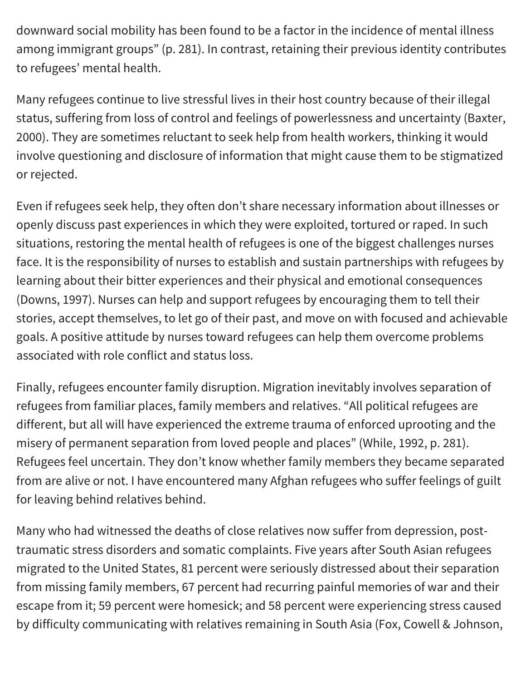downward social mobility has been found to be a factor in the incidence of mental illness among immigrant groups" (p. 281). In contrast, retaining their previous identity contributes to refugees' mental health.

Many refugees continue to live stressful lives in their host country because of their illegal status, suffering from loss of control and feelings of powerlessness and uncertainty (Baxter, 2000). They are sometimes reluctant to seek help from health workers, thinking it would involve questioning and disclosure of information that might cause them to be stigmatized or rejected.

Even if refugees seek help, they often don't share necessary information about illnesses or openly discuss past experiences in which they were exploited, tortured or raped. In such situations, restoring the mental health of refugees is one of the biggest challenges nurses face. It is the responsibility of nurses to establish and sustain partnerships with refugees by learning about their bitter experiences and their physical and emotional consequences (Downs, 1997). Nurses can help and support refugees by encouraging them to tell their stories, accept themselves, to let go of their past, and move on with focused and achievable goals. A positive attitude by nurses toward refugees can help them overcome problems associated with role conflict and status loss.

Finally, refugees encounter family disruption. Migration inevitably involves separation of refugees from familiar places, family members and relatives. "All political refugees are different, but all will have experienced the extreme trauma of enforced uprooting and the misery of permanent separation from loved people and places" (While, 1992, p. 281). Refugees feel uncertain. They don't know whether family members they became separated from are alive or not. I have encountered many Afghan refugees who suffer feelings of guilt for leaving behind relatives behind.

Many who had witnessed the deaths of close relatives now suffer from depression, posttraumatic stress disorders and somatic complaints. Five years after South Asian refugees migrated to the United States, 81 percent were seriously distressed about their separation from missing family members, 67 percent had recurring painful memories of war and their escape from it; 59 percent were homesick; and 58 percent were experiencing stress caused by difficulty communicating with relatives remaining in South Asia (Fox, Cowell & Johnson,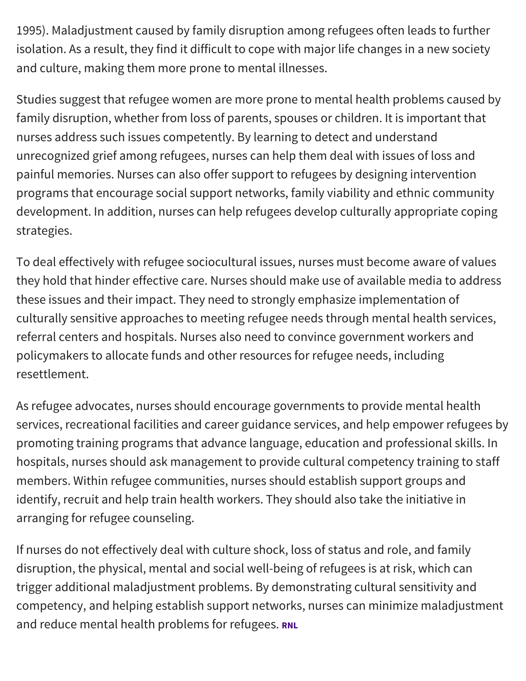1995). Maladjustment caused by family disruption among refugees often leads to further isolation. As a result, they find it difficult to cope with major life changes in a new society and culture, making them more prone to mental illnesses.

Studies suggest that refugee women are more prone to mental health problems caused by family disruption, whether from loss of parents, spouses or children. It is important that nurses address such issues competently. By learning to detect and understand unrecognized grief among refugees, nurses can help them deal with issues of loss and painful memories. Nurses can also offer support to refugees by designing intervention programs that encourage social support networks, family viability and ethnic community development. In addition, nurses can help refugees develop culturally appropriate coping strategies.

To deal effectively with refugee sociocultural issues, nurses must become aware of values they hold that hinder effective care. Nurses should make use of available media to address these issues and their impact. They need to strongly emphasize implementation of culturally sensitive approaches to meeting refugee needs through mental health services, referral centers and hospitals. Nurses also need to convince government workers and policymakers to allocate funds and other resources for refugee needs, including resettlement.

As refugee advocates, nurses should encourage governments to provide mental health services, recreational facilities and career guidance services, and help empower refugees by promoting training programs that advance language, education and professional skills. In hospitals, nurses should ask management to provide cultural competency training to staff members. Within refugee communities, nurses should establish support groups and identify, recruit and help train health workers. They should also take the initiative in arranging for refugee counseling.

If nurses do not effectively deal with culture shock, loss of status and role, and family disruption, the physical, mental and social well-being of refugees is at risk, which can trigger additional maladjustment problems. By demonstrating cultural sensitivity and competency, and helping establish support networks, nurses can minimize maladjustment and reduce mental health problems for refugees. RNL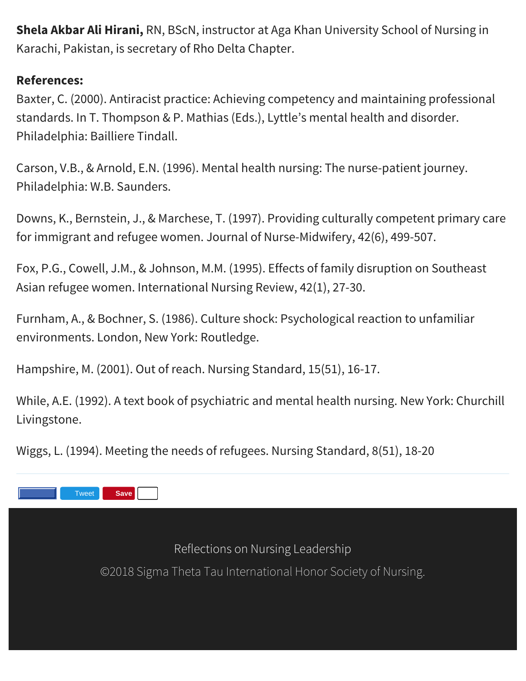**Shela Akbar Ali Hirani,** RN, BScN, instructor at Aga Khan University School of Nursing in Karachi, Pakistan, is secretary of Rho Delta Chapter.

#### **References:**

Baxter, C. (2000). Antiracist practice: Achieving competency and maintaining professional standards. In T. Thompson & P. Mathias (Eds.), Lyttle's mental health and disorder. Philadelphia: Bailliere Tindall.

Carson, V.B., & Arnold, E.N. (1996). Mental health nursing: The nurse-patient journey. Philadelphia: W.B. Saunders.

Downs, K., Bernstein, J., & Marchese, T. (1997). Providing culturally competent primary care for immigrant and refugee women. Journal of Nurse-Midwifery, 42(6), 499-507.

Fox, P.G., Cowell, J.M., & Johnson, M.M. (1995). Effects of family disruption on Southeast Asian refugee women. International Nursing Review, 42(1), 27-30.

Furnham, A., & Bochner, S. (1986). Culture shock: Psychological reaction to unfamiliar environments. London, New York: Routledge.

Hampshire, M. (2001). Out of reach. Nursing Standard, 15(51), 16-17.

While, A.E. (1992). A text book of psychiatric and mental health nursing. New York: Churchill Livingstone.

Wiggs, L. (1994). Meeting the needs of refugees. Nursing Standard, 8(51), 18-20